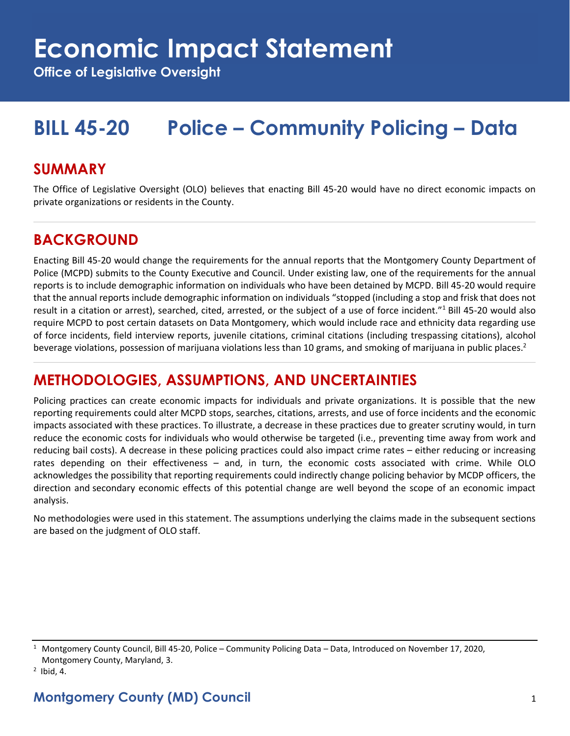## **Economic Impact Statement**

**Office of Legislative Oversight**

## **BILL 45-20 Police – Community Policing – Data**

#### **SUMMARY**

The Office of Legislative Oversight (OLO) believes that enacting Bill 45-20 would have no direct economic impacts on private organizations or residents in the County.

### **BACKGROUND**

Enacting Bill 45-20 would change the requirements for the annual reports that the Montgomery County Department of Police (MCPD) submits to the County Executive and Council. Under existing law, one of the requirements for the annual reports is to include demographic information on individuals who have been detained by MCPD. Bill 45-20 would require that the annual reports include demographic information on individuals "stopped (including a stop and frisk that does not result in a citation or arrest), searched, cited, arrested, or the subject of a use of force incident."<sup>1</sup> Bill 45-20 would also require MCPD to post certain datasets on Data Montgomery, which would include race and ethnicity data regarding use of force incidents, field interview reports, juvenile citations, criminal citations (including trespassing citations), alcohol beverage violations, possession of marijuana violations less than 10 grams, and smoking of marijuana in public places.<sup>2</sup>

## **METHODOLOGIES, ASSUMPTIONS, AND UNCERTAINTIES**

Policing practices can create economic impacts for individuals and private organizations. It is possible that the new reporting requirements could alter MCPD stops, searches, citations, arrests, and use of force incidents and the economic impacts associated with these practices. To illustrate, a decrease in these practices due to greater scrutiny would, in turn reduce the economic costs for individuals who would otherwise be targeted (i.e., preventing time away from work and reducing bail costs). A decrease in these policing practices could also impact crime rates – either reducing or increasing rates depending on their effectiveness – and, in turn, the economic costs associated with crime. While OLO acknowledges the possibility that reporting requirements could indirectly change policing behavior by MCDP officers, the direction and secondary economic effects of this potential change are well beyond the scope of an economic impact analysis.

No methodologies were used in this statement. The assumptions underlying the claims made in the subsequent sections are based on the judgment of OLO staff.

<sup>&</sup>lt;sup>1</sup> Montgomery County Council, Bill 45-20, Police – Community Policing Data – Data, Introduced on November 17, 2020, Montgomery County, Maryland, 3.

 $<sup>2</sup>$  Ibid, 4.</sup>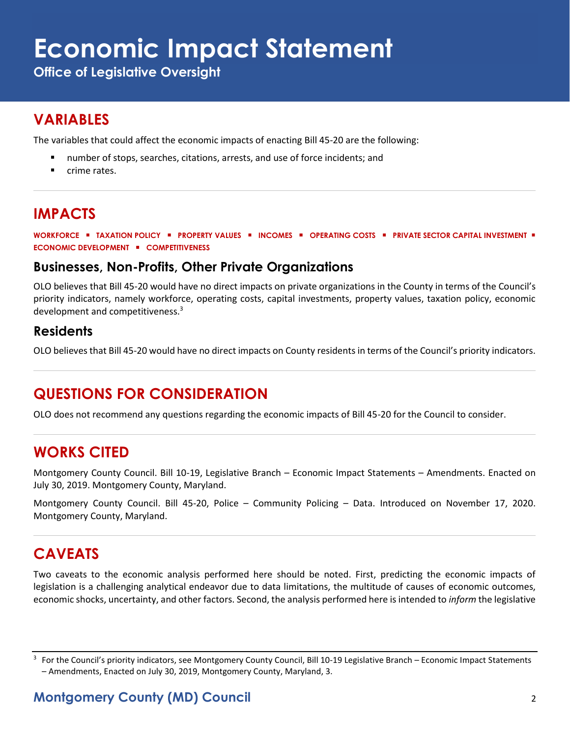# **Economic Impact Statement**

**Office of Legislative Oversight**

## **VARIABLES**

The variables that could affect the economic impacts of enacting Bill 45-20 are the following:

- number of stops, searches, citations, arrests, and use of force incidents; and
- crime rates.

## **IMPACTS**

**WORKFORCE** ▪ **TAXATION POLICY** ▪ **PROPERTY VALUES** ▪ **INCOMES** ▪ **OPERATING COSTS** ▪ **PRIVATE SECTOR CAPITAL INVESTMENT** ▪ **ECONOMIC DEVELOPMENT** ▪ **COMPETITIVENESS**

#### **Businesses, Non-Profits, Other Private Organizations**

OLO believes that Bill 45-20 would have no direct impacts on private organizations in the County in terms of the Council's priority indicators, namely workforce, operating costs, capital investments, property values, taxation policy, economic development and competitiveness.<sup>3</sup>

#### **Residents**

OLO believes that Bill 45-20 would have no direct impacts on County residents in terms of the Council's priority indicators.

## **QUESTIONS FOR CONSIDERATION**

OLO does not recommend any questions regarding the economic impacts of Bill 45-20 for the Council to consider.

### **WORKS CITED**

Montgomery County Council. Bill 10-19, Legislative Branch – Economic Impact Statements – Amendments. Enacted on July 30, 2019. Montgomery County, Maryland.

Montgomery County Council. Bill 45-20, Police – Community Policing – Data. Introduced on November 17, 2020. Montgomery County, Maryland.

## **CAVEATS**

Two caveats to the economic analysis performed here should be noted. First, predicting the economic impacts of legislation is a challenging analytical endeavor due to data limitations, the multitude of causes of economic outcomes, economic shocks, uncertainty, and other factors. Second, the analysis performed here is intended to *inform* the legislative

<sup>&</sup>lt;sup>3</sup> For the Council's priority indicators, see Montgomery County Council, Bill 10-19 Legislative Branch – Economic Impact Statements – Amendments, Enacted on July 30, 2019, Montgomery County, Maryland, 3.